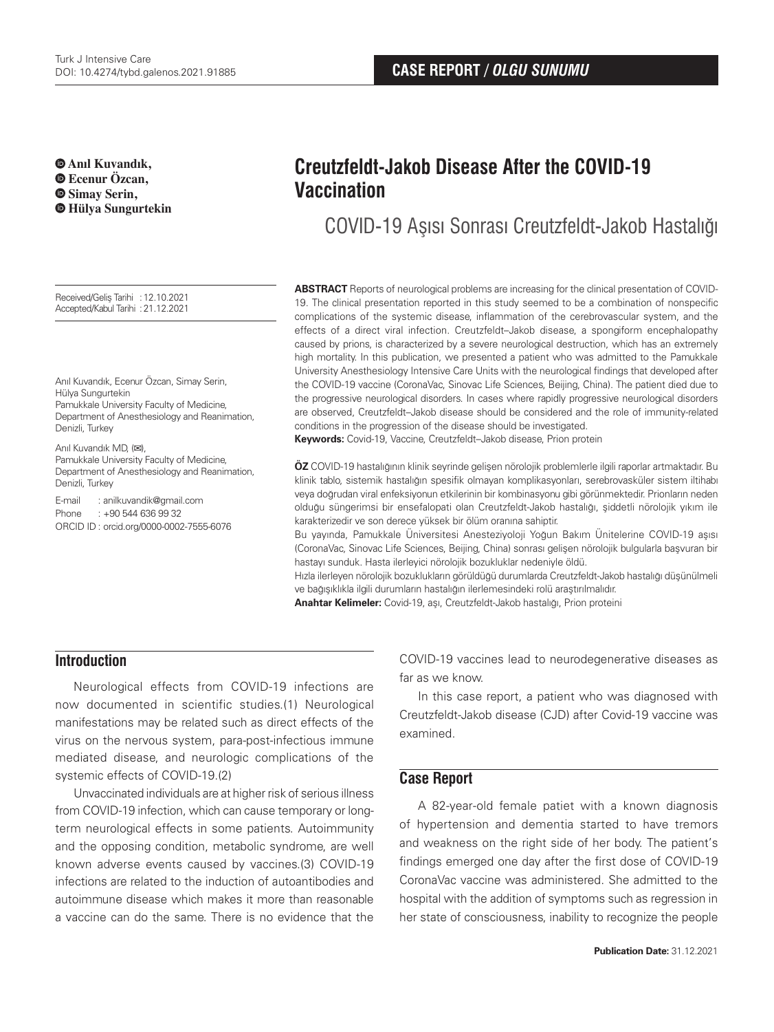**Anıl Kuvandık, Ecenur Özcan, Simay Serin, Hülya Sungurtekin**

Received/Geliş Tarihi :12.10.2021 Accepted/Kabul Tarihi :21.12.2021

Anıl Kuvandık, Ecenur Özcan, Simay Serin, Hülya Sungurtekin Pamukkale University Faculty of Medicine,

Department of Anesthesiology and Reanimation, Denizli, Turkey

Anıl Kuvandık MD, (**✉**), Pamukkale University Faculty of Medicine, Department of Anesthesiology and Reanimation, Denizli, Turkey

E-mail : anilkuvandik@gmail.com Phone : +90 544 636 99 32 ORCID ID : orcid.org/0000-0002-7555-6076

# **Creutzfeldt-Jakob Disease After the COVID-19 Vaccination**

COVID-19 Aşısı Sonrası Creutzfeldt-Jakob Hastalığı

**ABSTRACT** Reports of neurological problems are increasing for the clinical presentation of COVID-19. The clinical presentation reported in this study seemed to be a combination of nonspecific complications of the systemic disease, inflammation of the cerebrovascular system, and the effects of a direct viral infection. Creutzfeldt–Jakob disease, a spongiform encephalopathy caused by prions, is characterized by a severe neurological destruction, which has an extremely high mortality. In this publication, we presented a patient who was admitted to the Pamukkale University Anesthesiology Intensive Care Units with the neurological findings that developed after the COVID-19 vaccine (CoronaVac, Sinovac Life Sciences, Beijing, China). The patient died due to the progressive neurological disorders. In cases where rapidly progressive neurological disorders are observed, Creutzfeldt–Jakob disease should be considered and the role of immunity-related conditions in the progression of the disease should be investigated.

**Keywords:** Covid-19, Vaccine, Creutzfeldt–Jakob disease, Prion protein

**ÖZ** COVID-19 hastalığının klinik seyrinde gelişen nörolojik problemlerle ilgili raporlar artmaktadır. Bu klinik tablo, sistemik hastalığın spesifik olmayan komplikasyonları, serebrovasküler sistem iltihabı veya doğrudan viral enfeksiyonun etkilerinin bir kombinasyonu gibi görünmektedir. Prionların neden olduğu süngerimsi bir ensefalopati olan Creutzfeldt-Jakob hastalığı, şiddetli nörolojik yıkım ile karakterizedir ve son derece yüksek bir ölüm oranına sahiptir.

Bu yayında, Pamukkale Üniversitesi Anesteziyoloji Yoğun Bakım Ünitelerine COVID-19 aşısı (CoronaVac, Sinovac Life Sciences, Beijing, China) sonrası gelişen nörolojik bulgularla başvuran bir hastayı sunduk. Hasta ilerleyici nörolojik bozukluklar nedeniyle öldü.

Hızla ilerleyen nörolojik bozuklukların görüldüğü durumlarda Creutzfeldt-Jakob hastalığı düşünülmeli ve bağışıklıkla ilgili durumların hastalığın ilerlemesindeki rolü araştırılmalıdır.

**Anahtar Kelimeler:** Covid-19, aşı, Creutzfeldt-Jakob hastalığı, Prion proteini

# **Introduction**

Neurological effects from COVID-19 infections are now documented in scientific studies.(1) Neurological manifestations may be related such as direct effects of the virus on the nervous system, para-post-infectious immune mediated disease, and neurologic complications of the systemic effects of COVID-19.(2)

Unvaccinated individuals are at higher risk of serious illness from COVID-19 infection, which can cause temporary or longterm neurological effects in some patients. Autoimmunity and the opposing condition, metabolic syndrome, are well known adverse events caused by vaccines.(3) COVID-19 infections are related to the induction of autoantibodies and autoimmune disease which makes it more than reasonable a vaccine can do the same. There is no evidence that the

COVID-19 vaccines lead to neurodegenerative diseases as far as we know.

In this case report, a patient who was diagnosed with Creutzfeldt-Jakob disease (CJD) after Covid-19 vaccine was examined.

### **Case Report**

A 82-year-old female patiet with a known diagnosis of hypertension and dementia started to have tremors and weakness on the right side of her body. The patient's findings emerged one day after the first dose of COVID-19 CoronaVac vaccine was administered. She admitted to the hospital with the addition of symptoms such as regression in her state of consciousness, inability to recognize the people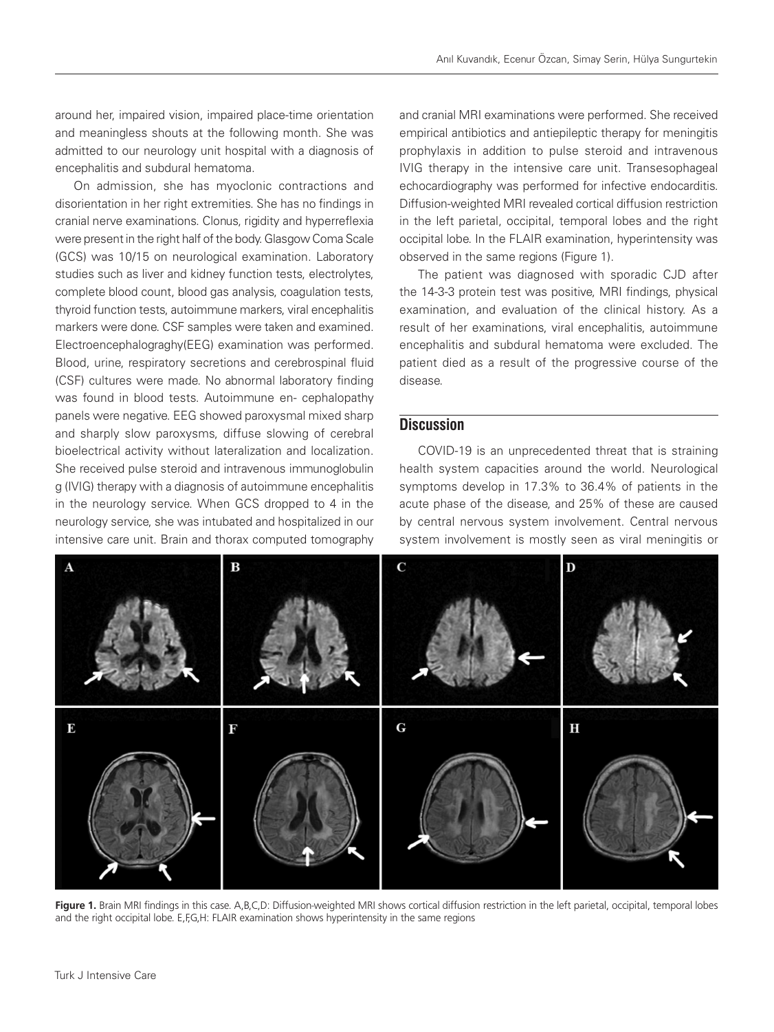around her, impaired vision, impaired place-time orientation and meaningless shouts at the following month. She was admitted to our neurology unit hospital with a diagnosis of encephalitis and subdural hematoma.

On admission, she has myoclonic contractions and disorientation in her right extremities. She has no findings in cranial nerve examinations. Clonus, rigidity and hyperreflexia were present in the right half of the body. Glasgow Coma Scale (GCS) was 10/15 on neurological examination. Laboratory studies such as liver and kidney function tests, electrolytes, complete blood count, blood gas analysis, coagulation tests, thyroid function tests, autoimmune markers, viral encephalitis markers were done. CSF samples were taken and examined. Electroencephalograghy(EEG) examination was performed. Blood, urine, respiratory secretions and cerebrospinal fluid (CSF) cultures were made. No abnormal laboratory finding was found in blood tests. Autoimmune en- cephalopathy panels were negative. EEG showed paroxysmal mixed sharp and sharply slow paroxysms, diffuse slowing of cerebral bioelectrical activity without lateralization and localization. She received pulse steroid and intravenous immunoglobulin g (IVIG) therapy with a diagnosis of autoimmune encephalitis in the neurology service. When GCS dropped to 4 in the neurology service, she was intubated and hospitalized in our intensive care unit. Brain and thorax computed tomography

and cranial MRI examinations were performed. She received empirical antibiotics and antiepileptic therapy for meningitis prophylaxis in addition to pulse steroid and intravenous IVIG therapy in the intensive care unit. Transesophageal echocardiography was performed for infective endocarditis. Diffusion-weighted MRI revealed cortical diffusion restriction in the left parietal, occipital, temporal lobes and the right occipital lobe. In the FLAIR examination, hyperintensity was observed in the same regions (Figure 1).

The patient was diagnosed with sporadic CJD after the 14-3-3 protein test was positive, MRI findings, physical examination, and evaluation of the clinical history. As a result of her examinations, viral encephalitis, autoimmune encephalitis and subdural hematoma were excluded. The patient died as a result of the progressive course of the disease.

#### **Discussion**

COVID-19 is an unprecedented threat that is straining health system capacities around the world. Neurological symptoms develop in 17.3% to 36.4% of patients in the acute phase of the disease, and 25% of these are caused by central nervous system involvement. Central nervous system involvement is mostly seen as viral meningitis or



Figure 1. Brain MRI findings in this case. A,B,C,D: Diffusion-weighted MRI shows cortical diffusion restriction in the left parietal, occipital, temporal lobes and the right occipital lobe. E,F,G,H: FLAIR examination shows hyperintensity in the same regions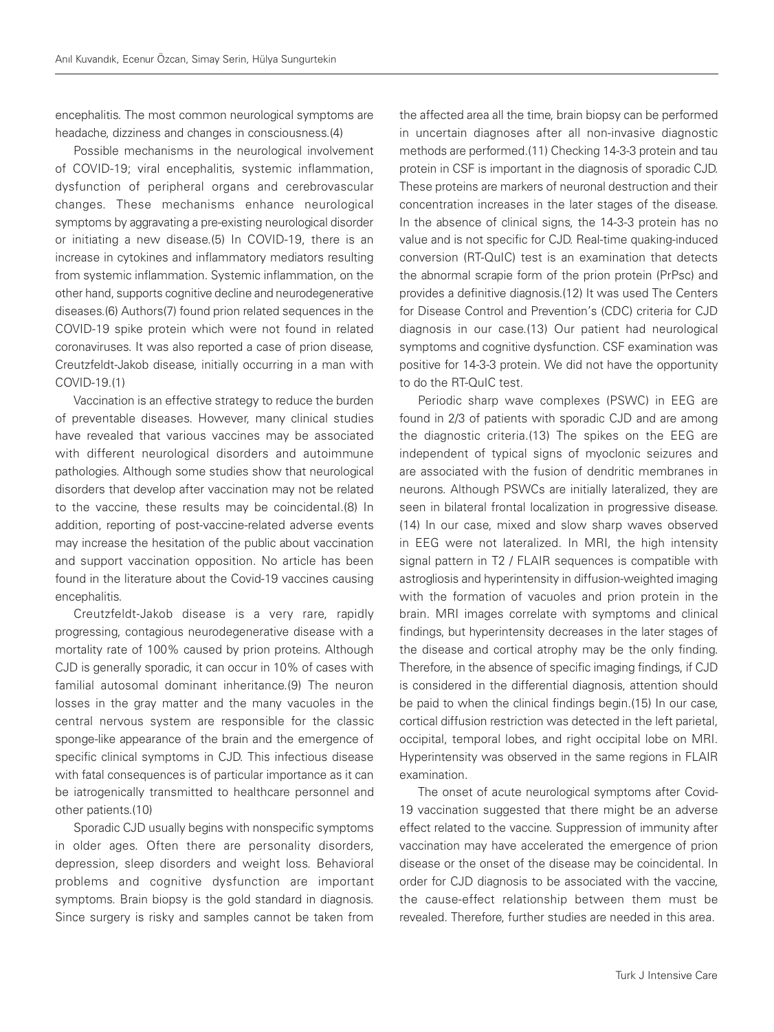encephalitis. The most common neurological symptoms are headache, dizziness and changes in consciousness.(4)

Possible mechanisms in the neurological involvement of COVID-19; viral encephalitis, systemic inflammation, dysfunction of peripheral organs and cerebrovascular changes. These mechanisms enhance neurological symptoms by aggravating a pre-existing neurological disorder or initiating a new disease.(5) In COVID-19, there is an increase in cytokines and inflammatory mediators resulting from systemic inflammation. Systemic inflammation, on the other hand, supports cognitive decline and neurodegenerative diseases.(6) Authors(7) found prion related sequences in the COVID-19 spike protein which were not found in related coronaviruses. It was also reported a case of prion disease, Creutzfeldt-Jakob disease, initially occurring in a man with COVID-19.(1)

Vaccination is an effective strategy to reduce the burden of preventable diseases. However, many clinical studies have revealed that various vaccines may be associated with different neurological disorders and autoimmune pathologies. Although some studies show that neurological disorders that develop after vaccination may not be related to the vaccine, these results may be coincidental.(8) In addition, reporting of post-vaccine-related adverse events may increase the hesitation of the public about vaccination and support vaccination opposition. No article has been found in the literature about the Covid-19 vaccines causing encephalitis.

Creutzfeldt-Jakob disease is a very rare, rapidly progressing, contagious neurodegenerative disease with a mortality rate of 100% caused by prion proteins. Although CJD is generally sporadic, it can occur in 10% of cases with familial autosomal dominant inheritance.(9) The neuron losses in the gray matter and the many vacuoles in the central nervous system are responsible for the classic sponge-like appearance of the brain and the emergence of specific clinical symptoms in CJD. This infectious disease with fatal consequences is of particular importance as it can be iatrogenically transmitted to healthcare personnel and other patients.(10)

Sporadic CJD usually begins with nonspecific symptoms in older ages. Often there are personality disorders, depression, sleep disorders and weight loss. Behavioral problems and cognitive dysfunction are important symptoms. Brain biopsy is the gold standard in diagnosis. Since surgery is risky and samples cannot be taken from the affected area all the time, brain biopsy can be performed in uncertain diagnoses after all non-invasive diagnostic methods are performed.(11) Checking 14-3-3 protein and tau protein in CSF is important in the diagnosis of sporadic CJD. These proteins are markers of neuronal destruction and their concentration increases in the later stages of the disease. In the absence of clinical signs, the 14-3-3 protein has no value and is not specific for CJD. Real-time quaking-induced conversion (RT-QuIC) test is an examination that detects the abnormal scrapie form of the prion protein (PrPsc) and provides a definitive diagnosis.(12) It was used The Centers for Disease Control and Prevention's (CDC) criteria for CJD diagnosis in our case.(13) Our patient had neurological symptoms and cognitive dysfunction. CSF examination was positive for 14-3-3 protein. We did not have the opportunity to do the RT-QuIC test.

Periodic sharp wave complexes (PSWC) in EEG are found in 2/3 of patients with sporadic CJD and are among the diagnostic criteria.(13) The spikes on the EEG are independent of typical signs of myoclonic seizures and are associated with the fusion of dendritic membranes in neurons. Although PSWCs are initially lateralized, they are seen in bilateral frontal localization in progressive disease. (14) In our case, mixed and slow sharp waves observed in EEG were not lateralized. In MRI, the high intensity signal pattern in T2 / FLAIR sequences is compatible with astrogliosis and hyperintensity in diffusion-weighted imaging with the formation of vacuoles and prion protein in the brain. MRI images correlate with symptoms and clinical findings, but hyperintensity decreases in the later stages of the disease and cortical atrophy may be the only finding. Therefore, in the absence of specific imaging findings, if CJD is considered in the differential diagnosis, attention should be paid to when the clinical findings begin.(15) In our case, cortical diffusion restriction was detected in the left parietal, occipital, temporal lobes, and right occipital lobe on MRI. Hyperintensity was observed in the same regions in FLAIR examination.

The onset of acute neurological symptoms after Covid-19 vaccination suggested that there might be an adverse effect related to the vaccine. Suppression of immunity after vaccination may have accelerated the emergence of prion disease or the onset of the disease may be coincidental. In order for CJD diagnosis to be associated with the vaccine, the cause-effect relationship between them must be revealed. Therefore, further studies are needed in this area.